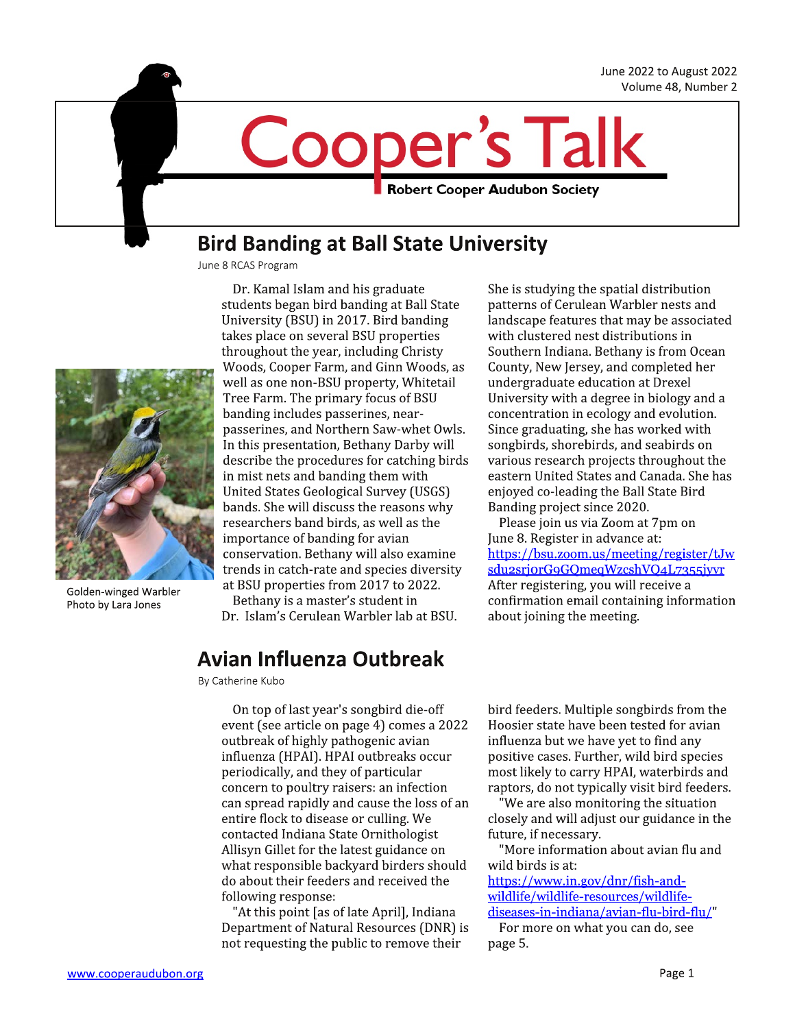June 2022 to August 2022 Volume 48, Number 2

**Robert Cooper Audubon Society** 

### **Bird Banding at Ball State University**

June 8 RCAS Program



Golden-winged Warbler Photo by Lara Jones

Dr. Kamal Islam and his graduate students began bird banding at Ball State University (BSU) in 2017. Bird banding takes place on several BSU properties throughout the year, including Christy Woods, Cooper Farm, and Ginn Woods, as well as one non-BSU property, Whitetail Tree Farm. The primary focus of BSU banding includes passerines, nearpasserines, and Northern Saw-whet Owls. In this presentation, Bethany Darby will describe the procedures for catching birds in mist nets and banding them with United States Geological Survey (USGS) bands. She will discuss the reasons why researchers band birds, as well as the importance of banding for avian conservation. Bethany will also examine trends in catch-rate and species diversity at BSU properties from 2017 to 2022. Bethany is a master's student in

Dr. Islam's Cerulean Warbler lab at BSU.

### **Avian Influenza Outbreak**

By Catherine Kubo

On top of last year's songbird die-off event (see article on page 4) comes a 2022 outbreak of highly pathogenic avian influenza (HPAI). HPAI outbreaks occur periodically, and they of particular concern to poultry raisers: an infection can spread rapidly and cause the loss of an entire flock to disease or culling. We contacted Indiana State Ornithologist Allisyn Gillet for the latest guidance on what responsible backyard birders should do about their feeders and received the following response:

"At this point [as of late April], Indiana Department of Natural Resources (DNR) is not requesting the public to remove their

She is studying the spatial distribution patterns of Cerulean Warbler nests and landscape features that may be associated with clustered nest distributions in Southern Indiana. Bethany is from Ocean County, New Jersey, and completed her undergraduate education at Drexel University with a degree in biology and a concentration in ecology and evolution. Since graduating, she has worked with songbirds, shorebirds, and seabirds on various research projects throughout the eastern United States and Canada. She has enjoyed co-leading the Ball State Bird Banding project since 2020.

Please join us via Zoom at 7pm on June 8. Register in advance at: https://bsu.zoom.us/meeting/register/tJw sdu2srjorG9GQmeqWzcshVQ4L7355jyvr After registering, you will receive a confirmation email containing information about joining the meeting.

bird feeders. Multiple songbirds from the Hoosier state have been tested for avian influenza but we have yet to find any positive cases. Further, wild bird species most likely to carry HPAI, waterbirds and raptors, do not typically visit bird feeders.

"We are also monitoring the situation closely and will adjust our guidance in the future, if necessary.

"More information about avian flu and wild birds is at:

https://www.in.gov/dnr/fish-andwildlife/wildlife-resources/wildlifediseases-in-indiana/avian-flu-bird-flu/"

For more on what you can do, see page 5.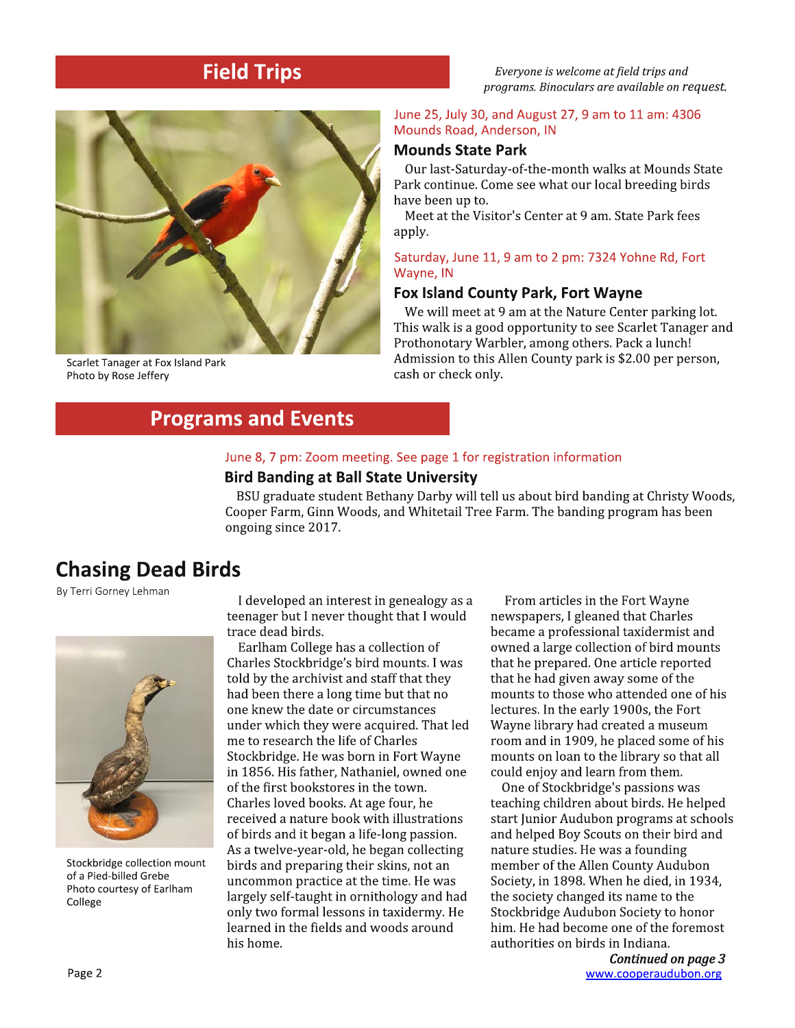### **Field Trips**

Everyone is welcome at field trips and programs. Binoculars are available on request.



Scarlet Tanager at Fox Island Park Photo by Rose Jeffery

#### June 25, July 30, and August 27, 9 am to 11 am: 4306 Mounds Road, Anderson, IN

### **Mounds State Park**

Our last-Saturday-of-the-month walks at Mounds State Park continue. Come see what our local breeding birds have been up to.

Meet at the Visitor's Center at 9 am. State Park fees apply.

#### Saturday, June 11, 9 am to 2 pm: 7324 Yohne Rd, Fort Wayne, IN

#### **Fox Island County Park, Fort Wayne**

We will meet at 9 am at the Nature Center parking lot. This walk is a good opportunity to see Scarlet Tanager and Prothonotary Warbler, among others. Pack a lunch! Admission to this Allen County park is \$2.00 per person, cash or check only.

### **Programs and Events**

#### June 8, 7 pm: Zoom meeting. See page 1 for registration information

#### **Bird Banding at Ball State University**

BSU graduate student Bethany Darby will tell us about bird banding at Christy Woods, Cooper Farm, Ginn Woods, and Whitetail Tree Farm. The banding program has been ongoing since 2017.

### **Chasing Dead Birds**

By Terri Gorney Lehman



Stockbridge collection mount of a Pied-billed Grebe Photo courtesy of Earlham College

I developed an interest in genealogy as a teenager but I never thought that I would trace dead birds.

Earlham College has a collection of Charles Stockbridge's bird mounts. I was told by the archivist and staff that they had been there a long time but that no one knew the date or circumstances under which they were acquired. That led me to research the life of Charles Stockbridge. He was born in Fort Wayne in 1856. His father, Nathaniel, owned one of the first bookstores in the town. Charles loved books. At age four, he received a nature book with illustrations of birds and it began a life-long passion. As a twelve-year-old, he began collecting birds and preparing their skins, not an uncommon practice at the time. He was largely self-taught in ornithology and had only two formal lessons in taxidermy. He learned in the fields and woods around his home.

From articles in the Fort Wayne newspapers, I gleaned that Charles became a professional taxidermist and owned a large collection of bird mounts that he prepared. One article reported that he had given away some of the mounts to those who attended one of his lectures. In the early 1900s, the Fort Wayne library had created a museum room and in 1909, he placed some of his mounts on loan to the library so that all could enjoy and learn from them.

One of Stockbridge's passions was teaching children about birds. He helped start Junior Audubon programs at schools and helped Boy Scouts on their bird and nature studies. He was a founding member of the Allen County Audubon Society, in 1898. When he died, in 1934, the society changed its name to the Stockbridge Audubon Society to honor him. He had become one of the foremost authorities on birds in Indiana.

> Continued on page 3 www.cooperaudubon.org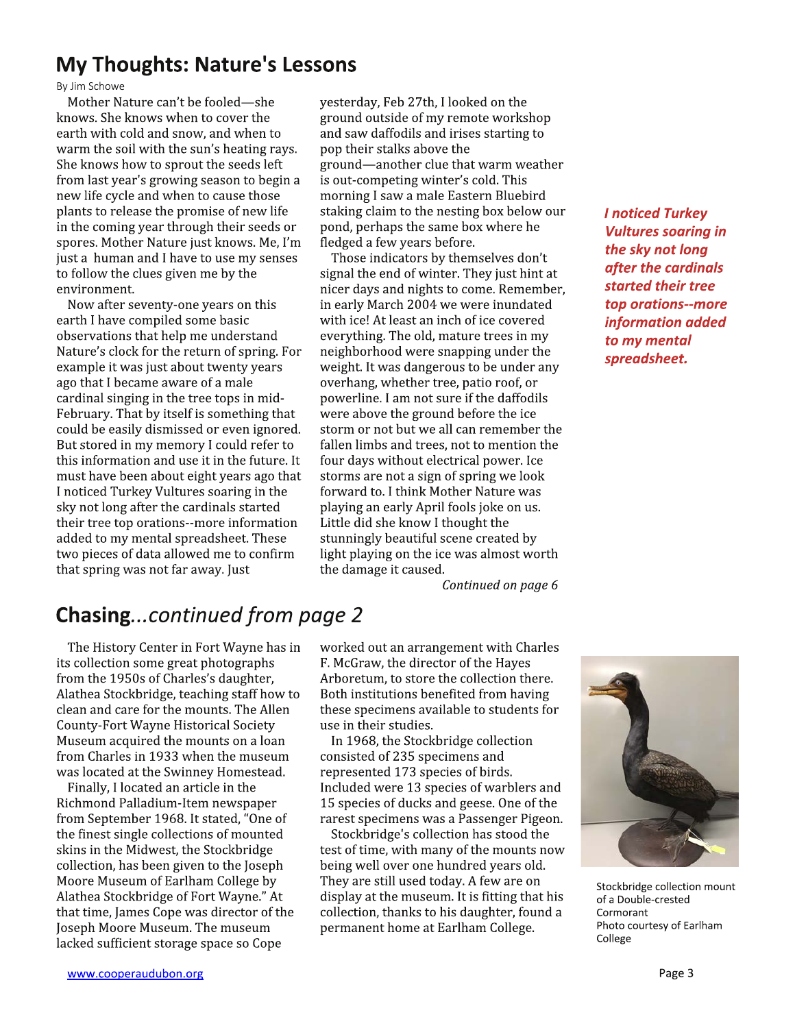### **My Thoughts: Nature's Lessons**

By Jim Schowe

Mother Nature can't be fooled-she knows. She knows when to cover the earth with cold and snow, and when to warm the soil with the sun's heating rays. She knows how to sprout the seeds left from last year's growing season to begin a new life cycle and when to cause those plants to release the promise of new life in the coming year through their seeds or spores. Mother Nature just knows. Me, I'm just a human and I have to use my senses to follow the clues given me by the environment.

Now after seventy-one years on this earth I have compiled some basic observations that help me understand Nature's clock for the return of spring. For example it was just about twenty years ago that I became aware of a male cardinal singing in the tree tops in mid-February. That by itself is something that could be easily dismissed or even ignored. But stored in my memory I could refer to this information and use it in the future. It must have been about eight years ago that I noticed Turkey Vultures soaring in the sky not long after the cardinals started their tree top orations--more information added to my mental spreadsheet. These two pieces of data allowed me to confirm that spring was not far away. Just

yesterday, Feb 27th, I looked on the ground outside of my remote workshop and saw daffodils and irises starting to pop their stalks above the ground—another clue that warm weather is out-competing winter's cold. This morning I saw a male Eastern Bluebird staking claim to the nesting box below our pond, perhaps the same box where he fledged a few years before.

Those indicators by themselves don't signal the end of winter. They just hint at nicer days and nights to come. Remember, in early March 2004 we were inundated with ice! At least an inch of ice covered everything. The old, mature trees in my neighborhood were snapping under the weight. It was dangerous to be under any overhang, whether tree, patio roof, or powerline. I am not sure if the daffodils were above the ground before the ice storm or not but we all can remember the fallen limbs and trees, not to mention the four days without electrical power. Ice storms are not a sign of spring we look forward to. I think Mother Nature was playing an early April fools joke on us. Little did she know I thought the stunningly beautiful scene created by light playing on the ice was almost worth the damage it caused.

**I** noticed Turkey **Vultures soaring in** the sky not long after the cardinals started their tree top orations--more information added to my mental spreadsheet.

Continued on page 6

## **Chasing...continued from page 2**

The History Center in Fort Wayne has in its collection some great photographs from the 1950s of Charles's daughter, Alathea Stockbridge, teaching staff how to clean and care for the mounts. The Allen **County-Fort Wayne Historical Society** Museum acquired the mounts on a loan from Charles in 1933 when the museum was located at the Swinney Homestead.

Finally, I located an article in the Richmond Palladium-Item newspaper from September 1968. It stated, "One of the finest single collections of mounted skins in the Midwest, the Stockbridge collection, has been given to the Joseph Moore Museum of Earlham College by Alathea Stockbridge of Fort Wayne." At that time, James Cope was director of the Joseph Moore Museum. The museum lacked sufficient storage space so Cope

worked out an arrangement with Charles F. McGraw, the director of the Hayes Arboretum, to store the collection there. Both institutions benefited from having these specimens available to students for use in their studies.

In 1968, the Stockbridge collection consisted of 235 specimens and represented 173 species of birds. Included were 13 species of warblers and 15 species of ducks and geese. One of the rarest specimens was a Passenger Pigeon.

Stockbridge's collection has stood the test of time, with many of the mounts now being well over one hundred years old. They are still used today. A few are on display at the museum. It is fitting that his collection, thanks to his daughter, found a permanent home at Earlham College.



Stockbridge collection mount of a Double-crested Cormorant Photo courtesy of Earlham College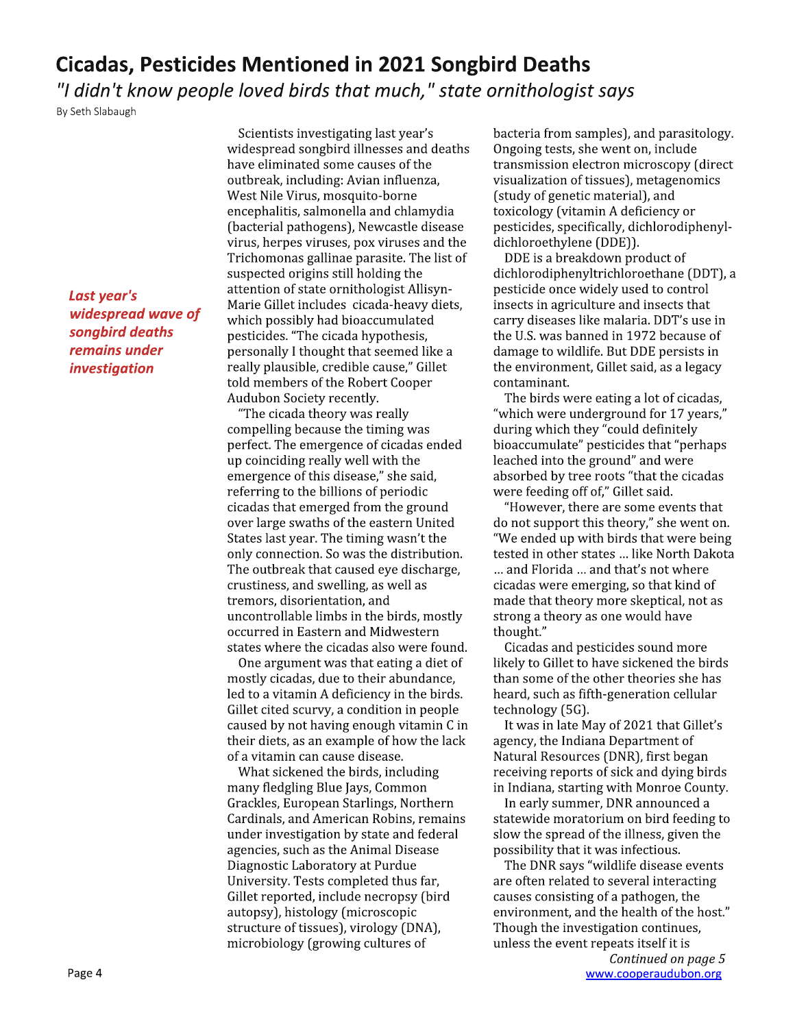### **Cicadas, Pesticides Mentioned in 2021 Songbird Deaths**

"I didn't know people loved birds that much," state ornithologist says

By Seth Slabaugh

Last year's widespread wave of songbird deaths remains under *investigation* 

Scientists investigating last year's widespread songbird illnesses and deaths have eliminated some causes of the outbreak, including: Avian influenza, West Nile Virus, mosquito-borne encephalitis, salmonella and chlamydia (bacterial pathogens), Newcastle disease virus, herpes viruses, pox viruses and the Trichomonas gallinae parasite. The list of suspected origins still holding the attention of state ornithologist Allisyn-Marie Gillet includes cicada-heavy diets, which possibly had bioaccumulated pesticides. "The cicada hypothesis, personally I thought that seemed like a really plausible, credible cause," Gillet told members of the Robert Cooper Audubon Society recently.

"The cicada theory was really compelling because the timing was perfect. The emergence of cicadas ended up coinciding really well with the emergence of this disease," she said, referring to the billions of periodic cicadas that emerged from the ground over large swaths of the eastern United States last year. The timing wasn't the only connection. So was the distribution. The outbreak that caused eye discharge, crustiness, and swelling, as well as tremors, disorientation, and uncontrollable limbs in the birds, mostly occurred in Eastern and Midwestern states where the cicadas also were found.

One argument was that eating a diet of mostly cicadas, due to their abundance, led to a vitamin A deficiency in the birds. Gillet cited scurvy, a condition in people caused by not having enough vitamin C in their diets, as an example of how the lack of a vitamin can cause disease.

What sickened the birds, including many fledgling Blue Jays, Common Grackles, European Starlings, Northern Cardinals, and American Robins, remains under investigation by state and federal agencies, such as the Animal Disease Diagnostic Laboratory at Purdue University. Tests completed thus far, Gillet reported, include necropsy (bird autopsy), histology (microscopic structure of tissues), virology (DNA), microbiology (growing cultures of

bacteria from samples), and parasitology. Ongoing tests, she went on, include transmission electron microscopy (direct visualization of tissues), metagenomics (study of genetic material), and toxicology (vitamin A deficiency or pesticides, specifically, dichlorodiphenyldichloroethylene (DDE)).

DDE is a breakdown product of dichlorodiphenyltrichloroethane (DDT), a pesticide once widely used to control insects in agriculture and insects that carry diseases like malaria. DDT's use in the U.S. was banned in 1972 because of damage to wildlife. But DDE persists in the environment, Gillet said, as a legacy contaminant.

The birds were eating a lot of cicadas, "which were underground for 17 years," during which they "could definitely bioaccumulate" pesticides that "perhaps leached into the ground" and were absorbed by tree roots "that the cicadas were feeding off of," Gillet said.

"However, there are some events that do not support this theory," she went on. "We ended up with birds that were being tested in other states ... like North Dakota ... and Florida ... and that's not where cicadas were emerging, so that kind of made that theory more skeptical, not as strong a theory as one would have thought."

Cicadas and pesticides sound more likely to Gillet to have sickened the birds than some of the other theories she has heard, such as fifth-generation cellular technology (5G).

It was in late May of 2021 that Gillet's agency, the Indiana Department of Natural Resources (DNR), first began receiving reports of sick and dying birds in Indiana, starting with Monroe County.

In early summer, DNR announced a statewide moratorium on bird feeding to slow the spread of the illness, given the possibility that it was infectious.

The DNR says "wildlife disease events are often related to several interacting causes consisting of a pathogen, the environment, and the health of the host." Though the investigation continues, unless the event repeats itself it is

Continued on page 5 www.cooperaudubon.org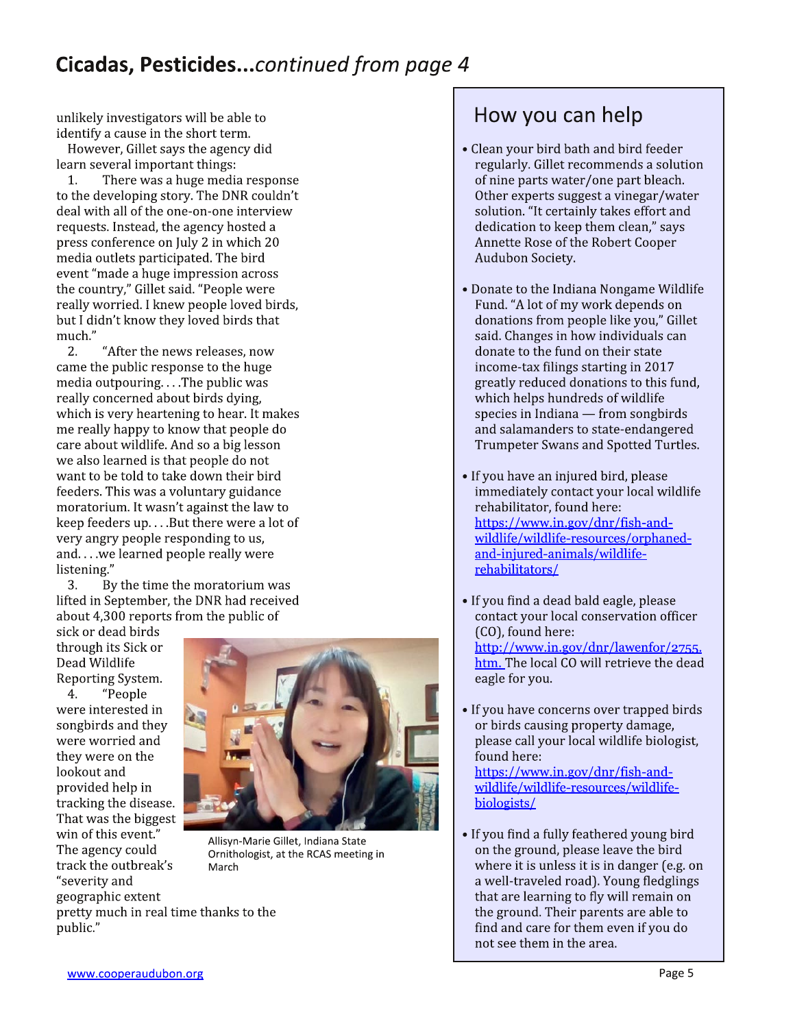## Cicadas, Pesticides...continued from page 4

unlikely investigators will be able to identify a cause in the short term.

However, Gillet says the agency did learn several important things:

 $1.$ There was a huge media response to the developing story. The DNR couldn't deal with all of the one-on-one interview requests. Instead, the agency hosted a press conference on July 2 in which 20 media outlets participated. The bird event "made a huge impression across the country," Gillet said. "People were really worried. I knew people loved birds, but I didn't know they loved birds that much."

2. "After the news releases, now came the public response to the huge media outpouring....The public was really concerned about birds dying, which is very heartening to hear. It makes me really happy to know that people do care about wildlife. And so a big lesson we also learned is that people do not want to be told to take down their bird feeders. This was a voluntary guidance moratorium. It wasn't against the law to keep feeders up....But there were a lot of very angry people responding to us, and....we learned people really were listening."

3. By the time the moratorium was lifted in September, the DNR had received about 4,300 reports from the public of

sick or dead birds through its Sick or Dead Wildlife Reporting System.

4. "People were interested in songbirds and they were worried and they were on the lookout and provided help in tracking the disease. That was the biggest win of this event." The agency could track the outbreak's "severity and geographic extent pretty much in real time thanks to the



Allisyn-Marie Gillet, Indiana State Ornithologist, at the RCAS meeting in March

# How you can help

- Clean your bird bath and bird feeder regularly. Gillet recommends a solution of nine parts water/one part bleach. Other experts suggest a vinegar/water solution. "It certainly takes effort and dedication to keep them clean," says Annette Rose of the Robert Cooper Audubon Society.
- Donate to the Indiana Nongame Wildlife Fund. "A lot of my work depends on donations from people like you," Gillet said. Changes in how individuals can donate to the fund on their state income-tax filings starting in 2017 greatly reduced donations to this fund, which helps hundreds of wildlife species in Indiana - from songbirds and salamanders to state-endangered Trumpeter Swans and Spotted Turtles.
- If you have an injured bird, please immediately contact your local wildlife rehabilitator, found here: https://www.in.gov/dnr/fish-andwildlife/wildlife-resources/orphanedand-injured-animals/wildliferehabilitators/
- If you find a dead bald eagle, please contact your local conservation officer (CO), found here: http://www.in.gov/dnr/lawenfor/2755. htm. The local CO will retrieve the dead eagle for you.
- If you have concerns over trapped birds or birds causing property damage, please call your local wildlife biologist, found here: https://www.in.gov/dnr/fish-andwildlife/wildlife-resources/wildlifebiologists/
- If you find a fully feathered young bird on the ground, please leave the bird where it is unless it is in danger (e.g. on a well-traveled road). Young fledglings that are learning to fly will remain on the ground. Their parents are able to find and care for them even if you do not see them in the area.

public."